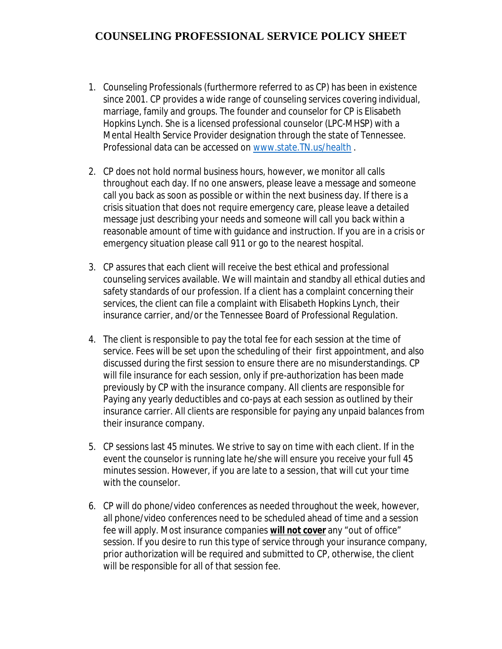## **COUNSELING PROFESSIONAL SERVICE POLICY SHEET**

- 1. Counseling Professionals (furthermore referred to as CP) has been in existence since 2001. CP provides a wide range of counseling services covering individual, marriage, family and groups. The founder and counselor for CP is Elisabeth Hopkins Lynch. She is a licensed professional counselor (LPC-MHSP) with a Mental Health Service Provider designation through the state of Tennessee. Professional data can be accessed on www.state.TN.us/health .
- 2. CP does not hold normal business hours, however, we monitor all calls throughout each day. If no one answers, please leave a message and someone call you back as soon as possible or within the next business day. If there is a crisis situation that does not require emergency care, please leave a detailed message just describing your needs and someone will call you back within a reasonable amount of time with guidance and instruction. If you are in a crisis or emergency situation please call 911 or go to the nearest hospital.
- 3. CP assures that each client will receive the best ethical and professional counseling services available. We will maintain and standby all ethical duties and safety standards of our profession. If a client has a complaint concerning their services, the client can file a complaint with Elisabeth Hopkins Lynch, their insurance carrier, and/or the Tennessee Board of Professional Regulation.
- 4. The client is responsible to pay the total fee for each session at the time of service. Fees will be set upon the scheduling of their first appointment, and also discussed during the first session to ensure there are no misunderstandings. CP will file insurance for each session, only if pre-authorization has been made previously by CP with the insurance company. All clients are responsible for Paying any yearly deductibles and co-pays at each session as outlined by their insurance carrier. All clients are responsible for paying any unpaid balances from their insurance company.
- 5. CP sessions last 45 minutes. We strive to say on time with each client. If in the event the counselor is running late he/she will ensure you receive your full 45 minutes session. However, if you are late to a session, that will cut your time with the counselor.
- 6. CP will do phone/video conferences as needed throughout the week, however, all phone/video conferences need to be scheduled ahead of time and a session fee will apply. Most insurance companies **will not cover** any "out of office" session. If you desire to run this type of service through your insurance company, prior authorization will be required and submitted to CP, otherwise, the client will be responsible for all of that session fee.